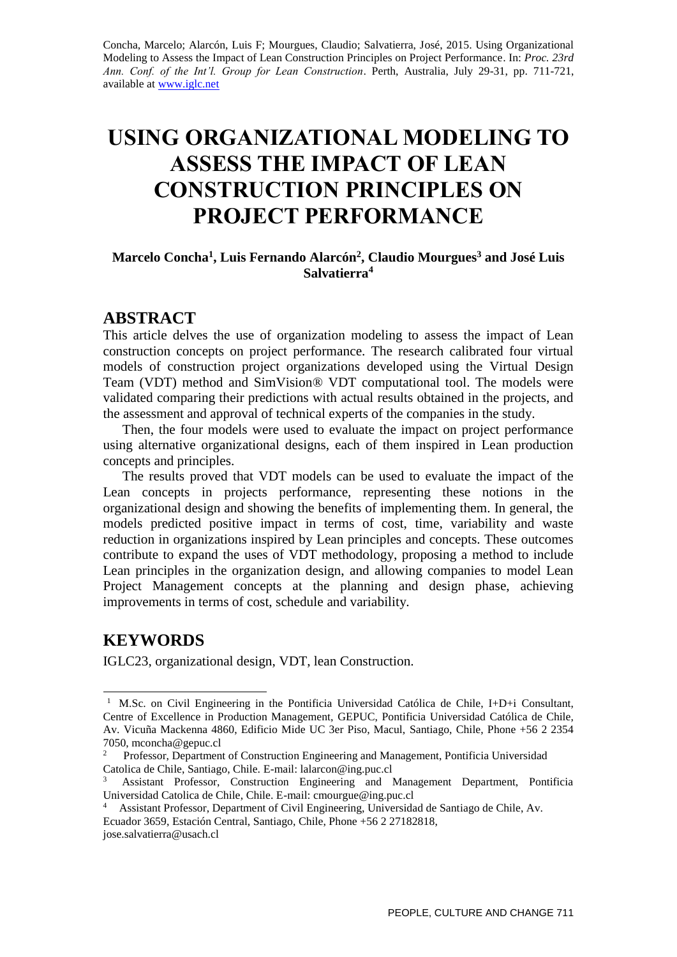Concha, Marcelo; Alarcón, Luis F; Mourgues, Claudio; Salvatierra, José, 2015. Using Organizational Modeling to Assess the Impact of Lean Construction Principles on Project Performance. In: *Proc. 23rd Ann. Conf. of the Int'l. Group for Lean Construction*. Perth, Australia, July 29-31, pp. 711-721, available at [www.iglc.net](http://www.iglc.net/)

# **USING ORGANIZATIONAL MODELING TO ASSESS THE IMPACT OF LEAN CONSTRUCTION PRINCIPLES ON PROJECT PERFORMANCE**

#### **Marcelo Concha<sup>1</sup> , Luis Fernando Alarcón<sup>2</sup> , Claudio Mourgues<sup>3</sup> and José Luis Salvatierra<sup>4</sup>**

#### **ABSTRACT**

This article delves the use of organization modeling to assess the impact of Lean construction concepts on project performance. The research calibrated four virtual models of construction project organizations developed using the Virtual Design Team (VDT) method and SimVision® VDT computational tool. The models were validated comparing their predictions with actual results obtained in the projects, and the assessment and approval of technical experts of the companies in the study.

Then, the four models were used to evaluate the impact on project performance using alternative organizational designs, each of them inspired in Lean production concepts and principles.

The results proved that VDT models can be used to evaluate the impact of the Lean concepts in projects performance, representing these notions in the organizational design and showing the benefits of implementing them. In general, the models predicted positive impact in terms of cost, time, variability and waste reduction in organizations inspired by Lean principles and concepts. These outcomes contribute to expand the uses of VDT methodology, proposing a method to include Lean principles in the organization design, and allowing companies to model Lean Project Management concepts at the planning and design phase, achieving improvements in terms of cost, schedule and variability.

#### **KEYWORDS**

-

IGLC23, organizational design, VDT, lean Construction.

<sup>&</sup>lt;sup>1</sup> M.Sc. on Civil Engineering in the Pontificia Universidad Católica de Chile, I+D+i Consultant, Centre of Excellence in Production Management, GEPUC, Pontificia Universidad Católica de Chile, Av. Vicuña Mackenna 4860, Edificio Mide UC 3er Piso, Macul, Santiago, Chile, Phone +56 2 2354 7050, mconcha@gepuc.cl

<sup>2</sup> Professor, Department of Construction Engineering and Management, Pontificia Universidad Catolica de Chile, Santiago, Chile. E-mail: lalarcon@ing.puc.cl

<sup>3</sup> Assistant Professor, Construction Engineering and Management Department, Pontificia Universidad Catolica de Chile, Chile. E-mail: cmourgue@ing.puc.cl

<sup>4</sup> Assistant Professor, Department of Civil Engineering, Universidad de Santiago de Chile, Av. Ecuador 3659, Estación Central, Santiago, Chile, Phone +56 2 27182818, jose.salvatierra@usach.cl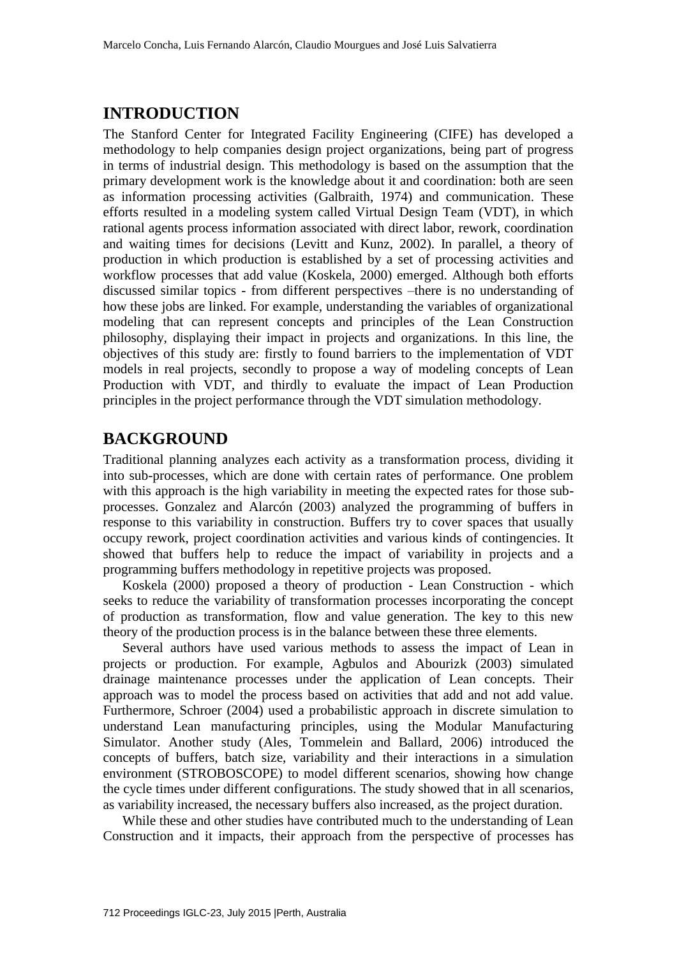### **INTRODUCTION**

The Stanford Center for Integrated Facility Engineering (CIFE) has developed a methodology to help companies design project organizations, being part of progress in terms of industrial design. This methodology is based on the assumption that the primary development work is the knowledge about it and coordination: both are seen as information processing activities (Galbraith, 1974) and communication. These efforts resulted in a modeling system called Virtual Design Team (VDT), in which rational agents process information associated with direct labor, rework, coordination and waiting times for decisions (Levitt and Kunz, 2002). In parallel, a theory of production in which production is established by a set of processing activities and workflow processes that add value (Koskela, 2000) emerged. Although both efforts discussed similar topics - from different perspectives –there is no understanding of how these jobs are linked. For example, understanding the variables of organizational modeling that can represent concepts and principles of the Lean Construction philosophy, displaying their impact in projects and organizations. In this line, the objectives of this study are: firstly to found barriers to the implementation of VDT models in real projects, secondly to propose a way of modeling concepts of Lean Production with VDT, and thirdly to evaluate the impact of Lean Production principles in the project performance through the VDT simulation methodology.

#### **BACKGROUND**

Traditional planning analyzes each activity as a transformation process, dividing it into sub-processes, which are done with certain rates of performance. One problem with this approach is the high variability in meeting the expected rates for those subprocesses. Gonzalez and Alarcón (2003) analyzed the programming of buffers in response to this variability in construction. Buffers try to cover spaces that usually occupy rework, project coordination activities and various kinds of contingencies. It showed that buffers help to reduce the impact of variability in projects and a programming buffers methodology in repetitive projects was proposed.

Koskela (2000) proposed a theory of production - Lean Construction - which seeks to reduce the variability of transformation processes incorporating the concept of production as transformation, flow and value generation. The key to this new theory of the production process is in the balance between these three elements.

Several authors have used various methods to assess the impact of Lean in projects or production. For example, Agbulos and Abourizk (2003) simulated drainage maintenance processes under the application of Lean concepts. Their approach was to model the process based on activities that add and not add value. Furthermore, Schroer (2004) used a probabilistic approach in discrete simulation to understand Lean manufacturing principles, using the Modular Manufacturing Simulator. Another study (Ales, Tommelein and Ballard, 2006) introduced the concepts of buffers, batch size, variability and their interactions in a simulation environment (STROBOSCOPE) to model different scenarios, showing how change the cycle times under different configurations. The study showed that in all scenarios, as variability increased, the necessary buffers also increased, as the project duration.

While these and other studies have contributed much to the understanding of Lean Construction and it impacts, their approach from the perspective of processes has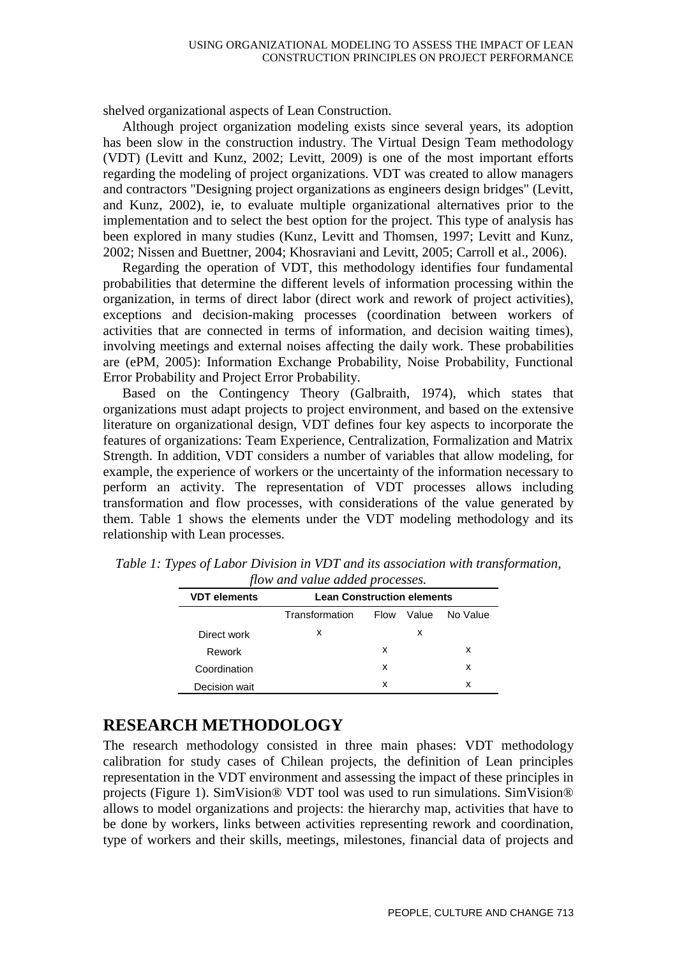shelved organizational aspects of Lean Construction.

Although project organization modeling exists since several years, its adoption has been slow in the construction industry. The Virtual Design Team methodology (VDT) (Levitt and Kunz, 2002; Levitt, 2009) is one of the most important efforts regarding the modeling of project organizations. VDT was created to allow managers and contractors "Designing project organizations as engineers design bridges" (Levitt, and Kunz, 2002), ie, to evaluate multiple organizational alternatives prior to the implementation and to select the best option for the project. This type of analysis has been explored in many studies (Kunz, Levitt and Thomsen, 1997; Levitt and Kunz, 2002; Nissen and Buettner, 2004; Khosraviani and Levitt, 2005; Carroll et al., 2006).

Regarding the operation of VDT, this methodology identifies four fundamental probabilities that determine the different levels of information processing within the organization, in terms of direct labor (direct work and rework of project activities), exceptions and decision-making processes (coordination between workers of activities that are connected in terms of information, and decision waiting times), involving meetings and external noises affecting the daily work. These probabilities are (ePM, 2005): Information Exchange Probability, Noise Probability, Functional Error Probability and Project Error Probability.

Based on the Contingency Theory (Galbraith, 1974), which states that organizations must adapt projects to project environment, and based on the extensive literature on organizational design, VDT defines four key aspects to incorporate the features of organizations: Team Experience, Centralization, Formalization and Matrix Strength. In addition, VDT considers a number of variables that allow modeling, for example, the experience of workers or the uncertainty of the information necessary to perform an activity. The representation of VDT processes allows including transformation and flow processes, with considerations of the value generated by them. Table 1 shows the elements under the VDT modeling methodology and its relationship with Lean processes.

| <b>VDT</b> elements | <b>Lean Construction elements</b> |      |       |          |  |  |  |  |  |  |
|---------------------|-----------------------------------|------|-------|----------|--|--|--|--|--|--|
|                     | Transformation                    | Flow | Value | No Value |  |  |  |  |  |  |
| Direct work         | x                                 |      | х     |          |  |  |  |  |  |  |
| Rework              |                                   | x    |       | x        |  |  |  |  |  |  |
| Coordination        |                                   | x    |       | x        |  |  |  |  |  |  |
| Decision wait       |                                   | x    |       | x        |  |  |  |  |  |  |

*Table 1: Types of Labor Division in VDT and its association with transformation, flow and value added processes.*

### **RESEARCH METHODOLOGY**

The research methodology consisted in three main phases: VDT methodology calibration for study cases of Chilean projects, the definition of Lean principles representation in the VDT environment and assessing the impact of these principles in projects (Figure 1). SimVision® VDT tool was used to run simulations. SimVision® allows to model organizations and projects: the hierarchy map, activities that have to be done by workers, links between activities representing rework and coordination, type of workers and their skills, meetings, milestones, financial data of projects and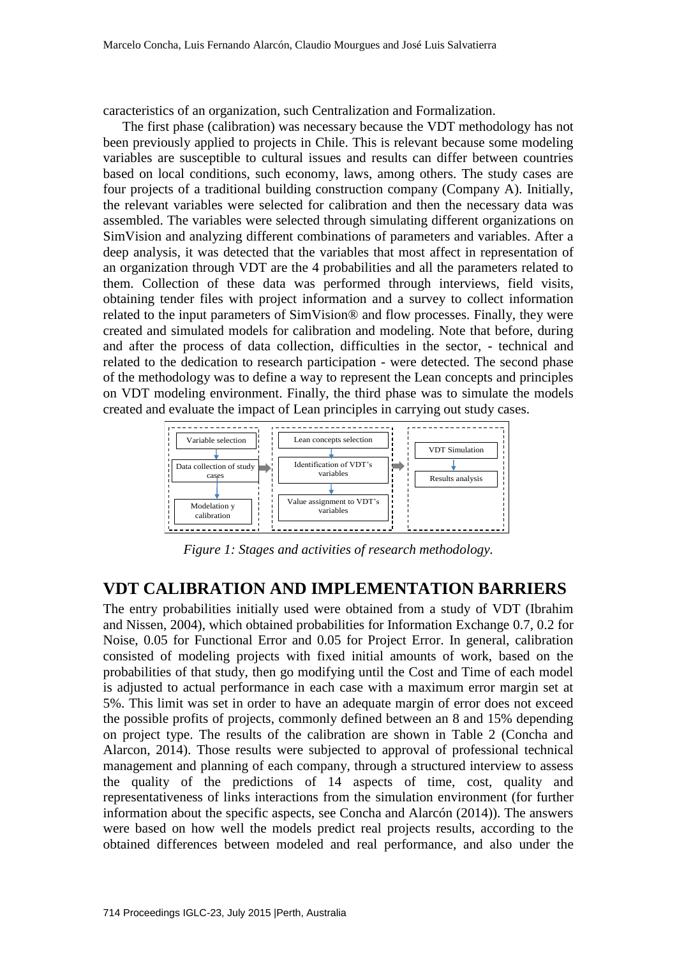caracteristics of an organization, such Centralization and Formalization.

The first phase (calibration) was necessary because the VDT methodology has not been previously applied to projects in Chile. This is relevant because some modeling variables are susceptible to cultural issues and results can differ between countries based on local conditions, such economy, laws, among others. The study cases are four projects of a traditional building construction company (Company A). Initially, the relevant variables were selected for calibration and then the necessary data was assembled. The variables were selected through simulating different organizations on SimVision and analyzing different combinations of parameters and variables. After a deep analysis, it was detected that the variables that most affect in representation of an organization through VDT are the 4 probabilities and all the parameters related to them. Collection of these data was performed through interviews, field visits, obtaining tender files with project information and a survey to collect information related to the input parameters of SimVision® and flow processes. Finally, they were created and simulated models for calibration and modeling. Note that before, during and after the process of data collection, difficulties in the sector, - technical and related to the dedication to research participation - were detected. The second phase of the methodology was to define a way to represent the Lean concepts and principles on VDT modeling environment. Finally, the third phase was to simulate the models created and evaluate the impact of Lean principles in carrying out study cases.



*Figure 1: Stages and activities of research methodology.*

#### **VDT CALIBRATION AND IMPLEMENTATION BARRIERS**

The entry probabilities initially used were obtained from a study of VDT (Ibrahim and Nissen, 2004), which obtained probabilities for Information Exchange 0.7, 0.2 for Noise, 0.05 for Functional Error and 0.05 for Project Error. In general, calibration consisted of modeling projects with fixed initial amounts of work, based on the probabilities of that study, then go modifying until the Cost and Time of each model is adjusted to actual performance in each case with a maximum error margin set at 5%. This limit was set in order to have an adequate margin of error does not exceed the possible profits of projects, commonly defined between an 8 and 15% depending on project type. The results of the calibration are shown in Table 2 (Concha and Alarcon, 2014). Those results were subjected to approval of professional technical management and planning of each company, through a structured interview to assess the quality of the predictions of 14 aspects of time, cost, quality and representativeness of links interactions from the simulation environment (for further information about the specific aspects, see Concha and Alarcón (2014)). The answers were based on how well the models predict real projects results, according to the obtained differences between modeled and real performance, and also under the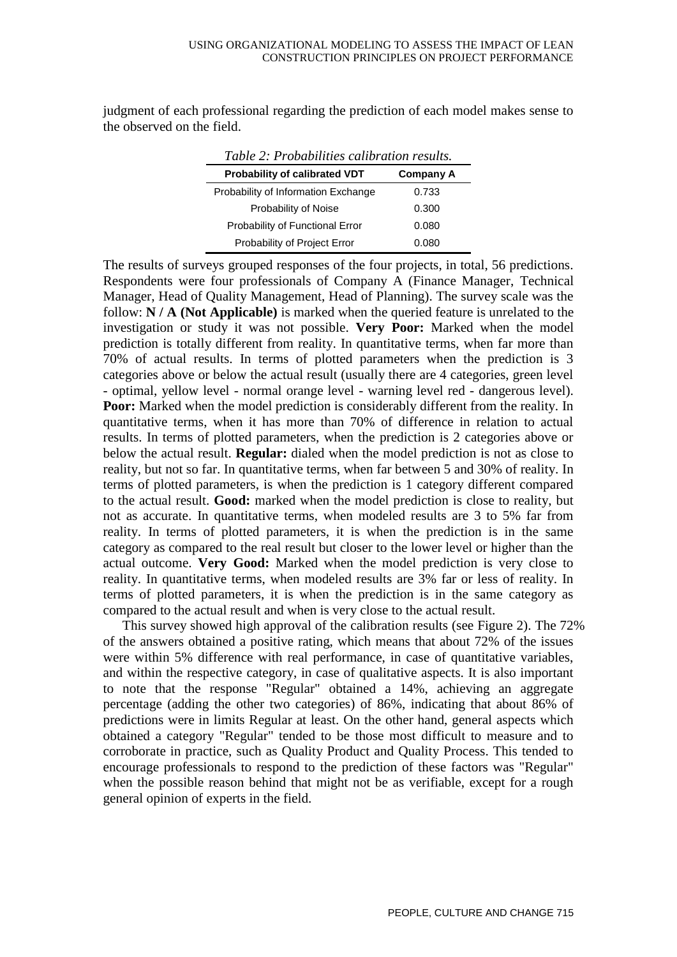judgment of each professional regarding the prediction of each model makes sense to the observed on the field.

| Table 2: Probabilities calibration results. |                  |  |  |  |  |  |  |
|---------------------------------------------|------------------|--|--|--|--|--|--|
| Probability of calibrated VDT               | <b>Company A</b> |  |  |  |  |  |  |
| Probability of Information Exchange         | 0.733            |  |  |  |  |  |  |
| Probability of Noise                        | 0.300            |  |  |  |  |  |  |
| Probability of Functional Error             | 0.080            |  |  |  |  |  |  |
| Probability of Project Error                | 0.080            |  |  |  |  |  |  |

The results of surveys grouped responses of the four projects, in total, 56 predictions. Respondents were four professionals of Company A (Finance Manager, Technical Manager, Head of Quality Management, Head of Planning). The survey scale was the follow: **N / A (Not Applicable)** is marked when the queried feature is unrelated to the investigation or study it was not possible. **Very Poor:** Marked when the model prediction is totally different from reality. In quantitative terms, when far more than 70% of actual results. In terms of plotted parameters when the prediction is 3 categories above or below the actual result (usually there are 4 categories, green level - optimal, yellow level - normal orange level - warning level red - dangerous level). **Poor:** Marked when the model prediction is considerably different from the reality. In quantitative terms, when it has more than 70% of difference in relation to actual results. In terms of plotted parameters, when the prediction is 2 categories above or below the actual result. **Regular:** dialed when the model prediction is not as close to reality, but not so far. In quantitative terms, when far between 5 and 30% of reality. In terms of plotted parameters, is when the prediction is 1 category different compared to the actual result. **Good:** marked when the model prediction is close to reality, but not as accurate. In quantitative terms, when modeled results are 3 to 5% far from reality. In terms of plotted parameters, it is when the prediction is in the same category as compared to the real result but closer to the lower level or higher than the actual outcome. **Very Good:** Marked when the model prediction is very close to reality. In quantitative terms, when modeled results are 3% far or less of reality. In terms of plotted parameters, it is when the prediction is in the same category as compared to the actual result and when is very close to the actual result.

This survey showed high approval of the calibration results (see Figure 2). The 72% of the answers obtained a positive rating, which means that about 72% of the issues were within 5% difference with real performance, in case of quantitative variables, and within the respective category, in case of qualitative aspects. It is also important to note that the response "Regular" obtained a 14%, achieving an aggregate percentage (adding the other two categories) of 86%, indicating that about 86% of predictions were in limits Regular at least. On the other hand, general aspects which obtained a category "Regular" tended to be those most difficult to measure and to corroborate in practice, such as Quality Product and Quality Process. This tended to encourage professionals to respond to the prediction of these factors was "Regular" when the possible reason behind that might not be as verifiable, except for a rough general opinion of experts in the field.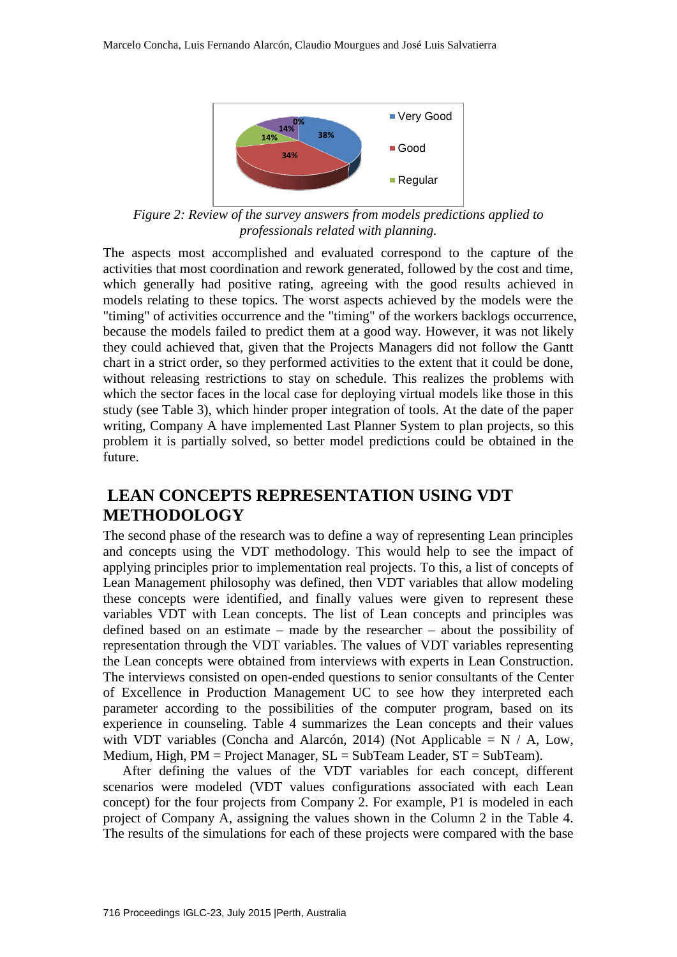

*Figure 2: Review of the survey answers from models predictions applied to professionals related with planning.*

The aspects most accomplished and evaluated correspond to the capture of the activities that most coordination and rework generated, followed by the cost and time, which generally had positive rating, agreeing with the good results achieved in models relating to these topics. The worst aspects achieved by the models were the "timing" of activities occurrence and the "timing" of the workers backlogs occurrence, because the models failed to predict them at a good way. However, it was not likely they could achieved that, given that the Projects Managers did not follow the Gantt chart in a strict order, so they performed activities to the extent that it could be done, without releasing restrictions to stay on schedule. This realizes the problems with which the sector faces in the local case for deploying virtual models like those in this study (see Table 3), which hinder proper integration of tools. At the date of the paper writing, Company A have implemented Last Planner System to plan projects, so this problem it is partially solved, so better model predictions could be obtained in the future.

### **LEAN CONCEPTS REPRESENTATION USING VDT METHODOLOGY**

The second phase of the research was to define a way of representing Lean principles and concepts using the VDT methodology. This would help to see the impact of applying principles prior to implementation real projects. To this, a list of concepts of Lean Management philosophy was defined, then VDT variables that allow modeling these concepts were identified, and finally values were given to represent these variables VDT with Lean concepts. The list of Lean concepts and principles was defined based on an estimate – made by the researcher – about the possibility of representation through the VDT variables. The values of VDT variables representing the Lean concepts were obtained from interviews with experts in Lean Construction. The interviews consisted on open-ended questions to senior consultants of the Center of Excellence in Production Management UC to see how they interpreted each parameter according to the possibilities of the computer program, based on its experience in counseling. Table 4 summarizes the Lean concepts and their values with VDT variables (Concha and Alarcón, 2014) (Not Applicable =  $N / A$ , Low, Medium, High, PM = Project Manager, SL = SubTeam Leader, ST = SubTeam).

After defining the values of the VDT variables for each concept, different scenarios were modeled (VDT values configurations associated with each Lean concept) for the four projects from Company 2. For example, P1 is modeled in each project of Company A, assigning the values shown in the Column 2 in the Table 4. The results of the simulations for each of these projects were compared with the base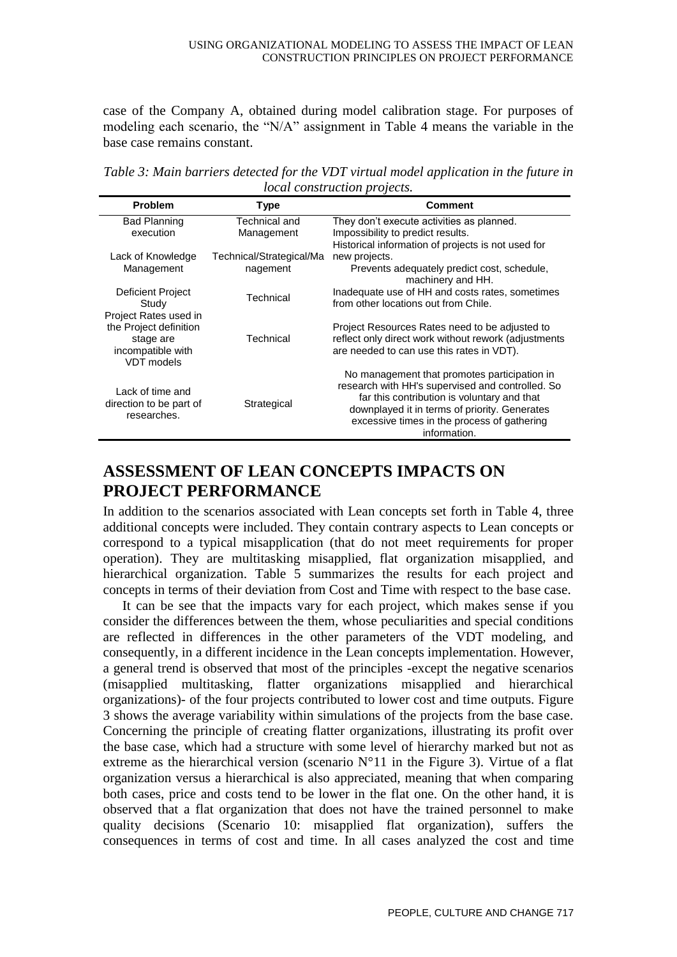case of the Company A, obtained during model calibration stage. For purposes of modeling each scenario, the "N/A" assignment in Table 4 means the variable in the base case remains constant.

*Table 3: Main barriers detected for the VDT virtual model application in the future in local construction projects.* 

| <b>Problem</b>                                  | Type                     | Comment                                                                                         |
|-------------------------------------------------|--------------------------|-------------------------------------------------------------------------------------------------|
| <b>Bad Planning</b>                             | Technical and            | They don't execute activities as planned.                                                       |
| execution                                       | Management               | Impossibility to predict results.                                                               |
|                                                 |                          | Historical information of projects is not used for                                              |
| Lack of Knowledge                               | Technical/Strategical/Ma | new projects.                                                                                   |
| Management                                      | nagement                 | Prevents adequately predict cost, schedule,<br>machinery and HH.                                |
| Deficient Project                               | Technical                | Inadequate use of HH and costs rates, sometimes                                                 |
| Study                                           |                          | from other locations out from Chile.                                                            |
| Project Rates used in<br>the Project definition |                          | Project Resources Rates need to be adjusted to                                                  |
| stage are                                       | Technical                | reflect only direct work without rework (adjustments                                            |
| incompatible with<br>VDT models                 |                          | are needed to can use this rates in VDT).                                                       |
|                                                 |                          | No management that promotes participation in                                                    |
| Lack of time and                                |                          | research with HH's supervised and controlled. So<br>far this contribution is voluntary and that |
| direction to be part of<br>researches.          | Strategical              | downplayed it in terms of priority. Generates                                                   |
|                                                 |                          | excessive times in the process of gathering                                                     |
|                                                 |                          | information.                                                                                    |

# **ASSESSMENT OF LEAN CONCEPTS IMPACTS ON PROJECT PERFORMANCE**

In addition to the scenarios associated with Lean concepts set forth in Table 4, three additional concepts were included. They contain contrary aspects to Lean concepts or correspond to a typical misapplication (that do not meet requirements for proper operation). They are multitasking misapplied, flat organization misapplied, and hierarchical organization. Table 5 summarizes the results for each project and concepts in terms of their deviation from Cost and Time with respect to the base case.

It can be see that the impacts vary for each project, which makes sense if you consider the differences between the them, whose peculiarities and special conditions are reflected in differences in the other parameters of the VDT modeling, and consequently, in a different incidence in the Lean concepts implementation. However, a general trend is observed that most of the principles -except the negative scenarios (misapplied multitasking, flatter organizations misapplied and hierarchical organizations)- of the four projects contributed to lower cost and time outputs. Figure 3 shows the average variability within simulations of the projects from the base case. Concerning the principle of creating flatter organizations, illustrating its profit over the base case, which had a structure with some level of hierarchy marked but not as extreme as the hierarchical version (scenario N°11 in the Figure 3). Virtue of a flat organization versus a hierarchical is also appreciated, meaning that when comparing both cases, price and costs tend to be lower in the flat one. On the other hand, it is observed that a flat organization that does not have the trained personnel to make quality decisions (Scenario 10: misapplied flat organization), suffers the consequences in terms of cost and time. In all cases analyzed the cost and time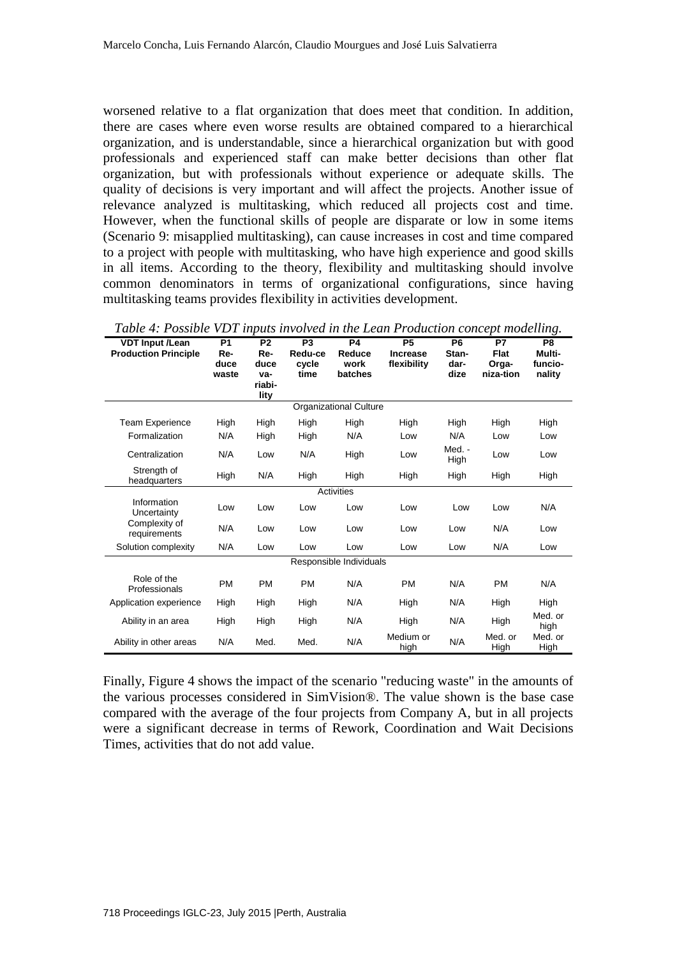worsened relative to a flat organization that does meet that condition. In addition, there are cases where even worse results are obtained compared to a hierarchical organization, and is understandable, since a hierarchical organization but with good professionals and experienced staff can make better decisions than other flat organization, but with professionals without experience or adequate skills. The quality of decisions is very important and will affect the projects. Another issue of relevance analyzed is multitasking, which reduced all projects cost and time. However, when the functional skills of people are disparate or low in some items (Scenario 9: misapplied multitasking), can cause increases in cost and time compared to a project with people with multitasking, who have high experience and good skills in all items. According to the theory, flexibility and multitasking should involve common denominators in terms of organizational configurations, since having multitasking teams provides flexibility in activities development.

| гаде $\star$ . Гозмде VDT трим толого тие цеан гтоаксноп сопсертной писк |                                        |                                                |                                            |                                 |                                             |                                         |                                                |                                               |  |  |
|--------------------------------------------------------------------------|----------------------------------------|------------------------------------------------|--------------------------------------------|---------------------------------|---------------------------------------------|-----------------------------------------|------------------------------------------------|-----------------------------------------------|--|--|
| <b>VDT Input /Lean</b><br><b>Production Principle</b>                    | P <sub>1</sub><br>Re-<br>duce<br>waste | P <sub>2</sub><br>Re-<br>duce<br>va-<br>riabi- | P <sub>3</sub><br>Redu-ce<br>cycle<br>time | P4<br>Reduce<br>work<br>batches | <b>P5</b><br><b>Increase</b><br>flexibility | P <sub>6</sub><br>Stan-<br>dar-<br>dize | <b>P7</b><br><b>Flat</b><br>Orga-<br>niza-tion | P <sub>8</sub><br>Multi-<br>funcio-<br>nality |  |  |
|                                                                          |                                        | lity                                           |                                            |                                 |                                             |                                         |                                                |                                               |  |  |
| Organizational Culture                                                   |                                        |                                                |                                            |                                 |                                             |                                         |                                                |                                               |  |  |
| <b>Team Experience</b>                                                   | High                                   | High                                           | High                                       | High                            | High                                        | High                                    | High                                           | High                                          |  |  |
| Formalization                                                            | N/A                                    | High                                           | High                                       | N/A                             | Low                                         | N/A                                     | Low                                            | Low                                           |  |  |
| Centralization                                                           | N/A                                    | Low                                            | N/A                                        | High                            | Low                                         | Med. -<br>High                          | Low                                            | Low                                           |  |  |
| Strength of<br>headquarters                                              | High                                   | N/A                                            | High                                       | High                            | High                                        | High                                    | High                                           | High                                          |  |  |
|                                                                          |                                        |                                                |                                            | Activities                      |                                             |                                         |                                                |                                               |  |  |
| Information<br>Uncertainty                                               | Low                                    | Low                                            | Low                                        | Low                             | Low                                         | Low                                     | Low                                            | N/A                                           |  |  |
| Complexity of<br>requirements                                            | N/A                                    | Low                                            | Low                                        | Low                             | Low                                         | Low                                     | N/A                                            | Low                                           |  |  |
| Solution complexity                                                      | N/A                                    | Low                                            | Low                                        | Low                             | Low                                         | Low                                     | N/A                                            | Low                                           |  |  |
|                                                                          |                                        |                                                |                                            | Responsible Individuals         |                                             |                                         |                                                |                                               |  |  |
| Role of the<br>Professionals                                             | <b>PM</b>                              | <b>PM</b>                                      | <b>PM</b>                                  | N/A                             | <b>PM</b>                                   | N/A                                     | <b>PM</b>                                      | N/A                                           |  |  |
| Application experience                                                   | High                                   | High                                           | High                                       | N/A                             | High                                        | N/A                                     | High                                           | High                                          |  |  |
| Ability in an area                                                       | High                                   | High                                           | High                                       | N/A                             | High                                        | N/A                                     | High                                           | Med. or<br>high                               |  |  |
| Ability in other areas                                                   | N/A                                    | Med.                                           | Med.                                       | N/A                             | Medium or<br>high                           | N/A                                     | Med. or<br>High                                | Med. or<br>High                               |  |  |

*Table 4: Possible VDT inputs involved in the Lean Production concept modelling.*

Finally, Figure 4 shows the impact of the scenario "reducing waste" in the amounts of the various processes considered in SimVision®. The value shown is the base case compared with the average of the four projects from Company A, but in all projects were a significant decrease in terms of Rework, Coordination and Wait Decisions Times, activities that do not add value.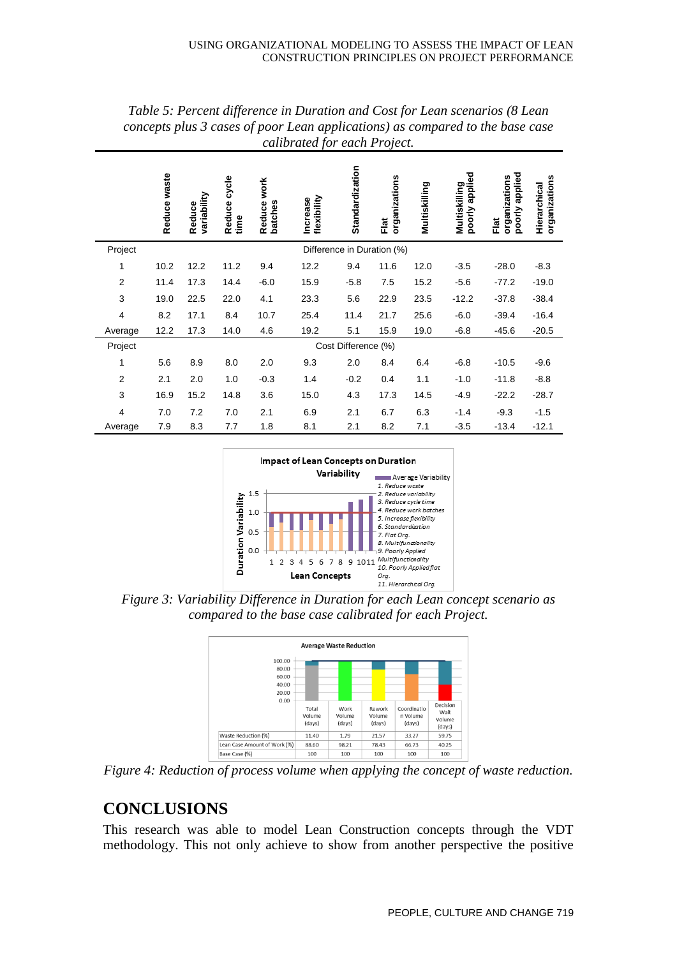|                | Reduce waste               | variability<br>Reduce | cycle<br>Reduce<br>time | Reduce work<br>batches | flexibility<br><b>Increase</b> | Standardization | organizations<br>Flat | Multiskilling | applied<br>Multiskilling<br>poorly | applied<br>organizations<br>poorly<br>Flat | organizations<br>Hierarchical |
|----------------|----------------------------|-----------------------|-------------------------|------------------------|--------------------------------|-----------------|-----------------------|---------------|------------------------------------|--------------------------------------------|-------------------------------|
| Project        | Difference in Duration (%) |                       |                         |                        |                                |                 |                       |               |                                    |                                            |                               |
| 1              | 10.2                       | 12.2                  | 11.2                    | 9.4                    | 12.2                           | 9.4             | 11.6                  | 12.0          | $-3.5$                             | $-28.0$                                    | $-8.3$                        |
| $\overline{2}$ | 11.4                       | 17.3                  | 14.4                    | $-6.0$                 | 15.9                           | $-5.8$          | 7.5                   | 15.2          | $-5.6$                             | $-77.2$                                    | $-19.0$                       |
| 3              | 19.0                       | 22.5                  | 22.0                    | 4.1                    | 23.3                           | 5.6             | 22.9                  | 23.5          | $-12.2$                            | $-37.8$                                    | $-38.4$                       |
| 4              | 8.2                        | 17.1                  | 8.4                     | 10.7                   | 25.4                           | 11.4            | 21.7                  | 25.6          | $-6.0$                             | $-39.4$                                    | $-16.4$                       |
| Average        | 12.2                       | 17.3                  | 14.0                    | 4.6                    | 19.2                           | 5.1             | 15.9                  | 19.0          | $-6.8$                             | $-45.6$                                    | $-20.5$                       |
| Project        | Cost Difference (%)        |                       |                         |                        |                                |                 |                       |               |                                    |                                            |                               |
| 1              | 5.6                        | 8.9                   | 8.0                     | 2.0                    | 9.3                            | 2.0             | 8.4                   | 6.4           | $-6.8$                             | $-10.5$                                    | $-9.6$                        |
| $\overline{2}$ | 2.1                        | 2.0                   | 1.0                     | $-0.3$                 | 1.4                            | $-0.2$          | 0.4                   | 1.1           | $-1.0$                             | $-11.8$                                    | $-8.8$                        |
| 3              | 16.9                       | 15.2                  | 14.8                    | 3.6                    | 15.0                           | 4.3             | 17.3                  | 14.5          | $-4.9$                             | $-22.2$                                    | $-28.7$                       |
| 4              | 7.0                        | 7.2                   | 7.0                     | 2.1                    | 6.9                            | 2.1             | 6.7                   | 6.3           | $-1.4$                             | $-9.3$                                     | $-1.5$                        |
| Average        | 7.9                        | 8.3                   | 7.7                     | 1.8                    | 8.1                            | 2.1             | 8.2                   | 7.1           | $-3.5$                             | $-13.4$                                    | $-12.1$                       |

*Table 5: Percent difference in Duration and Cost for Lean scenarios (8 Lean concepts plus 3 cases of poor Lean applications) as compared to the base case calibrated for each Project.*



*Figure 3: Variability Difference in Duration for each Lean concept scenario as compared to the base case calibrated for each Project.* 



*Figure 4: Reduction of process volume when applying the concept of waste reduction.* 

## **CONCLUSIONS**

This research was able to model Lean Construction concepts through the VDT methodology. This not only achieve to show from another perspective the positive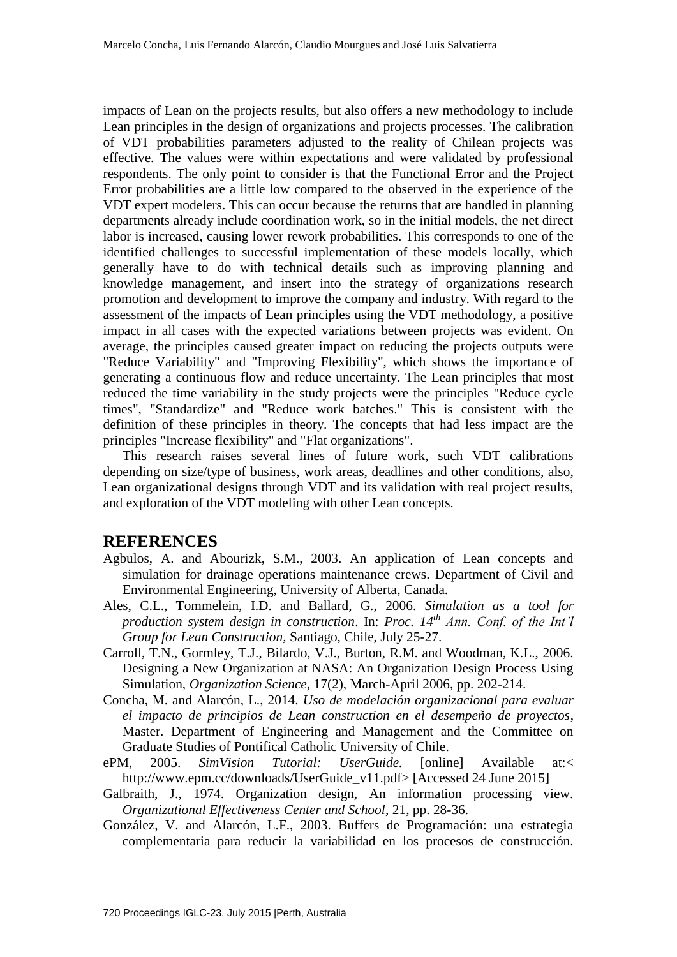impacts of Lean on the projects results, but also offers a new methodology to include Lean principles in the design of organizations and projects processes. The calibration of VDT probabilities parameters adjusted to the reality of Chilean projects was effective. The values were within expectations and were validated by professional respondents. The only point to consider is that the Functional Error and the Project Error probabilities are a little low compared to the observed in the experience of the VDT expert modelers. This can occur because the returns that are handled in planning departments already include coordination work, so in the initial models, the net direct labor is increased, causing lower rework probabilities. This corresponds to one of the identified challenges to successful implementation of these models locally, which generally have to do with technical details such as improving planning and knowledge management, and insert into the strategy of organizations research promotion and development to improve the company and industry. With regard to the assessment of the impacts of Lean principles using the VDT methodology, a positive impact in all cases with the expected variations between projects was evident. On average, the principles caused greater impact on reducing the projects outputs were "Reduce Variability" and "Improving Flexibility", which shows the importance of generating a continuous flow and reduce uncertainty. The Lean principles that most reduced the time variability in the study projects were the principles "Reduce cycle times", "Standardize" and "Reduce work batches." This is consistent with the definition of these principles in theory. The concepts that had less impact are the principles "Increase flexibility" and "Flat organizations".

This research raises several lines of future work, such VDT calibrations depending on size/type of business, work areas, deadlines and other conditions, also, Lean organizational designs through VDT and its validation with real project results, and exploration of the VDT modeling with other Lean concepts.

#### **REFERENCES**

- Agbulos, A. and Abourizk, S.M., 2003. An application of Lean concepts and simulation for drainage operations maintenance crews. Department of Civil and Environmental Engineering, University of Alberta, Canada.
- Ales, C.L., Tommelein, I.D. and Ballard, G., 2006. *Simulation as a tool for production system design in construction*. In: *Proc. 14th Ann. Conf. of the Int'l Group for Lean Construction,* Santiago, Chile, July 25-27.
- Carroll, T.N., Gormley, T.J., Bilardo, V.J., Burton, R.M. and Woodman, K.L., 2006. Designing a New Organization at NASA: An Organization Design Process Using Simulation, *Organization Science*, 17(2), March-April 2006, pp. 202-214.
- Concha, M. and Alarcón, L., 2014. *Uso de modelación organizacional para evaluar el impacto de principios de Lean construction en el desempeño de proyectos*, Master. Department of Engineering and Management and the Committee on Graduate Studies of Pontifical Catholic University of Chile.
- ePM, 2005. *SimVision Tutorial: UserGuide.* [online] Available at:< http://www.epm.cc/downloads/UserGuide\_v11.pdf> [Accessed 24 June 2015]
- Galbraith, J., 1974. Organization design, An information processing view. *Organizational Effectiveness Center and School*, 21, pp. 28-36.
- González, V. and Alarcón, L.F., 2003. Buffers de Programación: una estrategia complementaria para reducir la variabilidad en los procesos de construcción.